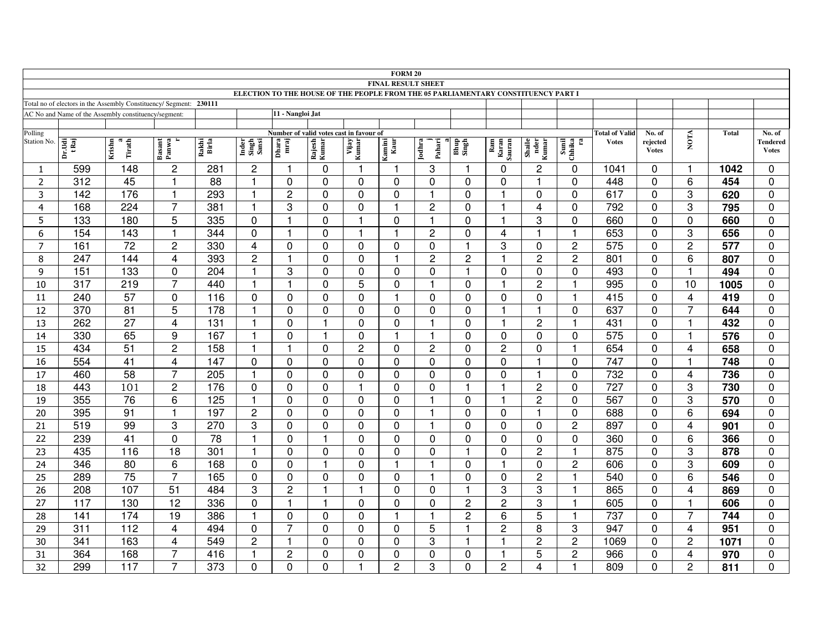|                                                                                                                |                  |                                                      |                 |                |                         |                  |                 |                                         | <b>FORM 20</b> |                  |                |                         |                         |                         |                                       |                    |                         |              |                           |
|----------------------------------------------------------------------------------------------------------------|------------------|------------------------------------------------------|-----------------|----------------|-------------------------|------------------|-----------------|-----------------------------------------|----------------|------------------|----------------|-------------------------|-------------------------|-------------------------|---------------------------------------|--------------------|-------------------------|--------------|---------------------------|
| <b>FINAL RESULT SHEET</b><br>ELECTION TO THE HOUSE OF THE PEOPLE FROM THE 05 PARLIAMENTARY CONSTITUENCY PART I |                  |                                                      |                 |                |                         |                  |                 |                                         |                |                  |                |                         |                         |                         |                                       |                    |                         |              |                           |
| Total no of electors in the Assembly Constituency/ Segment: 230111                                             |                  |                                                      |                 |                |                         |                  |                 |                                         |                |                  |                |                         |                         |                         |                                       |                    |                         |              |                           |
|                                                                                                                |                  | AC No and Name of the Assembly constituency/segment: |                 |                |                         | 11 - Nangloi Jat |                 |                                         |                |                  |                |                         |                         |                         |                                       |                    |                         |              |                           |
|                                                                                                                |                  |                                                      |                 |                |                         |                  |                 |                                         |                |                  |                |                         |                         |                         |                                       |                    |                         |              |                           |
| Polling<br>Station No.                                                                                         |                  |                                                      |                 |                |                         |                  |                 | Number of valid votes cast in favour of |                |                  |                |                         |                         |                         | <b>Total of Valid</b><br><b>Votes</b> | No. of<br>rejected | <b>NOTA</b>             | <b>Total</b> | No. of<br><b>Tendered</b> |
|                                                                                                                | Dr.Udi<br>tRaj   | Krishn<br>n<br>Tirath                                | Basant<br>Panwa | Rakhi<br>Birla | Inder<br>Singh<br>Sansi | Dhara<br>mraj    | Rajesh<br>Kumar | Vijay<br>Kumar                          | Kamini<br>Kaur | Jodhra<br>Pahari | Bhup<br>Singh  | Ram<br>Karan<br>Sauran  | Shaile<br>nder<br>Kumar | Sunil<br>Chhika<br>ra   |                                       | <b>Votes</b>       |                         |              | <b>Votes</b>              |
| 1                                                                                                              | 599              | 148                                                  | 2               | 281            | $\overline{c}$          |                  | 0               | f,                                      | 1              | 3                | 1              | $\Omega$                | 2                       | $\mathbf 0$             | 1041                                  | $\Omega$           | $\mathbf 1$             | 1042         | $\mathbf 0$               |
| $\overline{2}$                                                                                                 | 312              | 45                                                   | 1               | 88             | 1                       | $\mathbf 0$      | $\Omega$        | $\mathbf 0$                             | $\mathbf 0$    | $\Omega$         | $\Omega$       | $\overline{0}$          | $\overline{1}$          | $\overline{0}$          | 448                                   | $\mathbf 0$        | 6                       | 454          | $\mathbf 0$               |
| 3                                                                                                              | 142              | 176                                                  | 1               | 293            | $\mathbf 1$             | $\overline{2}$   | $\Omega$        | $\mathbf 0$                             | $\mathbf{0}$   | 1                | $\Omega$       | 1                       | $\mathbf 0$             | $\mathbf 0$             | 617                                   | $\mathbf 0$        | 3                       | 620          | $\mathbf 0$               |
| $\overline{4}$                                                                                                 | 168              | 224                                                  | $\overline{7}$  | 381            | $\overline{1}$          | 3                | 0               | $\mathbf 0$                             | 1              | $\overline{c}$   | $\mathbf 0$    | $\mathbf{1}$            | $\overline{\mathbf{4}}$ | $\mathbf 0$             | 792                                   | $\mathbf 0$        | 3                       | 795          | $\mathbf 0$               |
| 5                                                                                                              | $\overline{133}$ | 180                                                  | 5               | 335            | $\mathbf 0$             |                  | $\Omega$        |                                         | $\Omega$       | 1                | $\Omega$       | $\overline{1}$          | 3                       | $\mathbf 0$             | 660                                   | $\mathbf 0$        | $\Omega$                | 660          | $\mathbf 0$               |
| 6                                                                                                              | 154              | 143                                                  | -1              | 344            | 0                       |                  | 0               |                                         | $\mathbf{1}$   | 2                | 0              | 4                       | 1                       | -1                      | 653                                   | 0                  | 3                       | 656          | $\mathbf 0$               |
| $\overline{7}$                                                                                                 | 161              | 72                                                   | $\overline{2}$  | 330            | $\overline{4}$          | 0                | $\Omega$        | 0                                       | $\mathbf{0}$   | $\Omega$         | $\overline{1}$ | 3                       | $\mathbf 0$             | $\overline{2}$          | $\overline{575}$                      | $\Omega$           | $\overline{c}$          | 577          | $\Omega$                  |
| 8                                                                                                              | 247              | 144                                                  | 4               | 393            | $\overline{c}$          |                  | $\Omega$        | $\Omega$                                | 1              | 2                | 2              | 1                       | $\overline{c}$          | $\overline{2}$          | 801                                   | $\Omega$           | 6                       | 807          | $\mathbf 0$               |
| 9                                                                                                              | 151              | 133                                                  | 0               | 204            | $\overline{\mathbf{1}}$ | 3                | $\mathbf 0$     | $\Omega$                                | $\mathbf 0$    | 0                | $\overline{1}$ | $\mathbf 0$             | 0                       | $\mathbf 0$             | 493                                   | $\mathbf 0$        |                         | 494          | $\mathbf 0$               |
| 10                                                                                                             | 317              | 219                                                  | $\overline{7}$  | 440            | -1                      |                  | $\Omega$        | 5                                       | 0              | 1                | $\Omega$       | 1                       | $\overline{c}$          |                         | 995                                   | $\Omega$           | 10                      | 1005         | $\mathbf 0$               |
| 11                                                                                                             | 240              | 57                                                   | $\mathbf 0$     | 116            | $\mathbf 0$             | $\mathbf 0$      | $\mathbf 0$     | $\Omega$                                | $\overline{1}$ | $\mathbf 0$      | $\Omega$       | $\mathbf 0$             | 0                       | $\overline{\mathbf{1}}$ | 415                                   | $\mathbf 0$        | $\overline{4}$          | 419          | $\mathbf 0$               |
| 12                                                                                                             | 370              | $\overline{81}$                                      | 5               | 178            | $\overline{\mathbf{1}}$ | $\mathbf 0$      | $\mathbf 0$     | $\mathbf 0$                             | $\mathbf 0$    | $\mathbf 0$      | $\mathbf 0$    | -1                      | $\overline{1}$          | $\mathbf 0$             | 637                                   | $\mathbf 0$        | $\overline{7}$          | 644          | $\mathbf 0$               |
| 13                                                                                                             | 262              | 27                                                   | 4               | 131            | $\overline{\mathbf{1}}$ | $\mathbf 0$      | 1               | $\Omega$                                | $\Omega$       | 1                | $\Omega$       | $\overline{\mathbf{1}}$ | $\overline{c}$          | $\overline{1}$          | 431                                   | $\mathbf 0$        | $\mathbf{1}$            | 432          | $\mathbf 0$               |
| 14                                                                                                             | 330              | 65                                                   | 9               | 167            | $\overline{1}$          | 0                | $\mathbf{1}$    | $\mathbf 0$                             | $\mathbf{1}$   | 1                | $\mathbf 0$    | $\mathbf 0$             | 0                       | $\mathbf 0$             | 575                                   | $\mathbf 0$        | $\mathbf{1}$            | 576          | $\mathbf 0$               |
| 15                                                                                                             | 434              | $\overline{51}$                                      | $\overline{c}$  | 158            | $\mathbf 1$             |                  | $\Omega$        | $\overline{c}$                          | 0              | $\overline{c}$   | $\Omega$       | $\overline{2}$          | 0                       | -1                      | 654                                   | $\Omega$           | 4                       | 658          | $\Omega$                  |
| 16                                                                                                             | 554              | $\overline{41}$                                      | 4               | 147            | $\mathbf 0$             | $\Omega$         | $\Omega$        | $\Omega$                                | $\mathbf 0$    | $\Omega$         | $\Omega$       | $\mathbf 0$             | $\overline{1}$          | $\Omega$                | 747                                   | $\mathbf 0$        |                         | 748          | $\Omega$                  |
| $\overline{17}$                                                                                                | 460              | $\overline{58}$                                      | $\overline{7}$  | 205            | $\mathbf{1}$            | 0                | $\Omega$        | $\Omega$                                | $\Omega$       | $\Omega$         | $\Omega$       | $\Omega$                | 1                       | $\mathbf 0$             | 732                                   | $\Omega$           | 4                       | 736          | $\mathbf 0$               |
| 18                                                                                                             | 443              | 101                                                  | $\overline{c}$  | 176            | $\mathbf 0$             | $\mathbf 0$      | $\Omega$        |                                         | $\Omega$       | $\mathbf 0$      | $\mathbf{1}$   | $\overline{1}$          | $\overline{2}$          | $\mathbf 0$             | $\overline{727}$                      | $\mathbf 0$        | 3                       | 730          | $\mathbf 0$               |
| 19                                                                                                             | 355              | 76                                                   | 6               | 125            | $\mathbf{1}$            | $\mathbf 0$      | 0               | 0                                       | 0              |                  | 0              | -1                      | $\overline{2}$          | $\mathbf 0$             | 567                                   | $\mathbf 0$        | 3                       | 570          | $\mathbf 0$               |
| 20                                                                                                             | 395              | 91                                                   | -1              | 197            | $\sqrt{2}$              | $\Omega$         | $\Omega$        | $\Omega$                                | $\Omega$       | 1                | $\Omega$       | $\Omega$                | $\overline{1}$          | $\Omega$                | 688                                   | $\Omega$           | 6                       | 694          | $\mathbf 0$               |
| 21                                                                                                             | 519              | 99                                                   | 3               | 270            | 3                       | $\mathbf 0$      | $\mathbf 0$     | 0                                       | $\mathbf 0$    | 1                | $\Omega$       | $\mathbf 0$             | $\mathbf 0$             | $\overline{2}$          | 897                                   | $\mathbf 0$        | $\overline{\mathbf{4}}$ | 901          | $\mathbf 0$               |
| 22                                                                                                             | 239              | 41                                                   | $\mathbf 0$     | 78             | $\overline{\mathbf{1}}$ | $\Omega$         | 1               | $\Omega$                                | $\Omega$       | $\mathbf{0}$     | $\Omega$       | $\mathbf 0$             | 0                       | $\mathbf 0$             | 360                                   | $\mathbf 0$        | 6                       | 366          | $\mathbf 0$               |
| 23                                                                                                             | 435              | 116                                                  | $\overline{18}$ | 301            | $\overline{\mathbf{1}}$ | $\mathbf 0$      | $\mathbf 0$     | 0                                       | $\mathbf 0$    | 0                | $\mathbf 1$    | 0                       | $\overline{c}$          | $\mathbf{1}$            | 875                                   | $\mathbf 0$        | 3                       | 878          | $\mathbf 0$               |
| 24                                                                                                             | 346              | 80                                                   | 6               | 168            | 0                       | $\Omega$         |                 | $\Omega$                                | 1              | 1                | $\Omega$       | 1                       | 0                       | $\overline{c}$          | 606                                   | $\Omega$           | 3                       | 609          | 0                         |
| 25                                                                                                             | 289              | 75                                                   | $\overline{7}$  | 165            | $\Omega$                | $\Omega$         | $\Omega$        | $\Omega$                                | $\Omega$       |                  | $\Omega$       | $\Omega$                | $\overline{c}$          | -1                      | 540                                   | $\Omega$           | 6                       | 546          | $\Omega$                  |
| 26                                                                                                             | 208              | 107                                                  | $\overline{51}$ | 484            | 3                       | $\overline{c}$   | $\mathbf{1}$    |                                         | $\Omega$       | $\mathbf 0$      | 1              | 3                       | 3                       | $\mathbf{1}$            | 865                                   | $\mathbf 0$        | $\overline{4}$          | 869          | $\mathbf 0$               |
| 27                                                                                                             | 117              | 130                                                  | 12              | 336            | 0                       | $\mathbf 1$      | $\overline{1}$  | $\Omega$                                | $\Omega$       | $\Omega$         | 2              | $\overline{2}$          | 3                       | -1                      | 605                                   | $\Omega$           |                         | 606          | $\mathbf 0$               |
| 28                                                                                                             | 141              | 174                                                  | 19              | 386            | -1                      | $\Omega$         | $\Omega$        | $\Omega$                                | 1              | 1                | $\overline{c}$ | 6                       | 5                       | -1                      | 737                                   | 0                  | $\overline{7}$          | 744          | $\mathbf 0$               |
| 29                                                                                                             | 311              | $\overline{112}$                                     | 4               | 494            | $\mathbf{0}$            | $\overline{7}$   | $\Omega$        | $\Omega$                                | $\Omega$       | 5                | -1             | $\overline{2}$          | 8                       | 3                       | 947                                   | $\Omega$           | 4                       | 951          | $\mathbf 0$               |
| 30                                                                                                             | 341              | 163                                                  | 4               | 549            | $\overline{c}$          |                  | $\Omega$        | 0                                       | 0              | 3                | 1              | $\overline{1}$          | $\overline{2}$          | $\overline{2}$          | 1069                                  | 0                  | $\overline{c}$          | 1071         | $\mathbf 0$               |
| 31                                                                                                             | 364              | 168                                                  | 7               | 416            | $\overline{1}$          | $\overline{c}$   | $\Omega$        | 0                                       | $\mathbf 0$    | 0                | 0              | $\overline{1}$          | 5                       | $\overline{2}$          | 966                                   | $\mathbf 0$        | $\overline{4}$          | 970          | $\mathbf 0$               |
| 32                                                                                                             | 299              | 117                                                  | $\overline{7}$  | 373            | $\Omega$                | 0                | $\Omega$        |                                         | $\overline{2}$ | 3                | $\Omega$       | $\overline{2}$          | 4                       | $\overline{1}$          | 809                                   | $\Omega$           | $\overline{2}$          | 811          | $\overline{0}$            |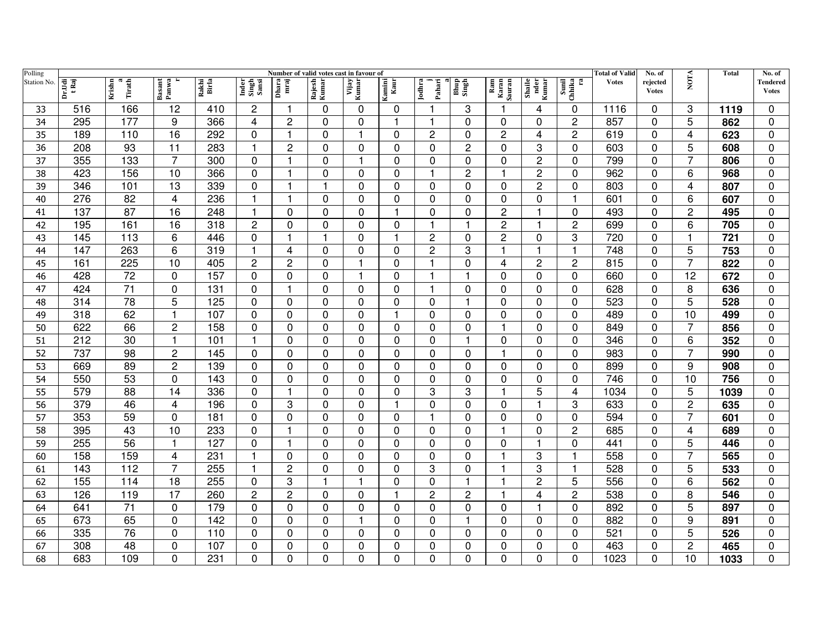| Polling     | Number of valid votes cast in favour of |                       |                 |                |                         |                         |                 |                |                |                  |                |                        |                         |                                                                         | <b>Total of Valid</b> | No. of                   |                         | <b>Total</b> | No. of                   |
|-------------|-----------------------------------------|-----------------------|-----------------|----------------|-------------------------|-------------------------|-----------------|----------------|----------------|------------------|----------------|------------------------|-------------------------|-------------------------------------------------------------------------|-----------------------|--------------------------|-------------------------|--------------|--------------------------|
| Station No. | Dr.Udi<br>t Raj                         | a<br>Tirath<br>Krishn | Basant<br>Panwa | Rakhi<br>Birla | Inder<br>Singh<br>Sansi | Dhara<br>mraj           | Rajesh<br>Kumar | Vijay<br>Kumar | amini<br>Kaur  | Pahari<br>Jodhra | Bhup<br>Singh  | Ram<br>Karan<br>Sauran | Shaile<br>nder<br>Kumar | $\begin{array}{c} \mbox{Small}\\ \mbox{Chhika}\\ \mbox{ra} \end{array}$ | <b>Votes</b>          | rejected<br><b>Votes</b> | <b>NOTA</b>             |              | Tendered<br><b>Votes</b> |
| 33          | 516                                     | 166                   | 12              | 410            | 2                       | 1                       | 0               | 0              | 0              |                  | 3              | 1                      | 4                       | $\Omega$                                                                | 1116                  | $\mathbf{0}$             | 3                       | 1119         | $\Omega$                 |
| 34          | 295                                     | 177                   | 9               | 366            | 4                       | 2                       | 0               | 0              | -1             |                  | $\Omega$       | 0                      | 0                       | $\overline{c}$                                                          | 857                   | $\mathbf{0}$             | 5                       | 862          | $\mathbf 0$              |
| 35          | 189                                     | 110                   | 16              | 292            | 0                       | $\overline{\mathbf{1}}$ | $\Omega$        |                | $\Omega$       | $\overline{c}$   | 0              | 2                      | 4                       | $\overline{c}$                                                          | 619                   | $\mathbf{0}$             | $\overline{4}$          | 623          | 0                        |
| 36          | 208                                     | 93                    | 11              | 283            | $\mathbf{1}$            | $\overline{c}$          | $\Omega$        | $\Omega$       | 0              | 0                | 2              | $\mathbf 0$            | 3                       | $\mathbf 0$                                                             | 603                   | $\mathbf{0}$             | 5                       | 608          | $\mathbf 0$              |
| 37          | 355                                     | 133                   | 7               | 300            | 0                       | $\blacktriangleleft$    | 0               |                | 0              | 0                | 0              | 0                      | $\overline{c}$          | $\Omega$                                                                | 799                   | 0                        | $\overline{7}$          | 806          | 0                        |
| 38          | 423                                     | 156                   | 10              | 366            | $\mathbf 0$             | 1                       | 0               | 0              | 0              |                  | $\overline{c}$ | 1                      | $\overline{c}$          | 0                                                                       | 962                   | $\mathbf{0}$             | 6                       | 968          | $\mathbf 0$              |
| 39          | 346                                     | 101                   | 13              | 339            | $\mathbf 0$             | $\overline{1}$          | 1               | 0              | $\mathbf 0$    | 0                | 0              | $\mathbf 0$            | $\mathbf 2$             | $\mathbf 0$                                                             | 803                   | $\mathbf 0$              | $\overline{4}$          | 807          | $\mathbf 0$              |
| 40          | 276                                     | 82                    | 4               | 236            | $\mathbf{1}$            | 1                       | $\Omega$        | $\Omega$       | 0              | $\Omega$         | $\Omega$       | 0                      | 0                       | $\overline{1}$                                                          | 601                   | 0                        | 6                       | 607          | $\mathbf 0$              |
| 41          | 137                                     | 87                    | 16              | 248            | $\mathbf{1}$            | 0                       | $\Omega$        | $\Omega$       | $\overline{1}$ | $\Omega$         | $\Omega$       | $\overline{c}$         | $\mathbf{1}$            | $\mathbf 0$                                                             | 493                   | $\Omega$                 | $\overline{c}$          | 495          | $\mathbf 0$              |
| 42          | 195                                     | 161                   | 16              | 318            | $\overline{c}$          | 0                       | $\Omega$        | $\Omega$       | $\mathbf 0$    |                  | $\mathbf 1$    | $\overline{c}$         | 1                       | $\overline{2}$                                                          | 699                   | $\mathbf 0$              | 6                       | 705          | $\mathbf 0$              |
| 43          | 145                                     | 113                   | 6               | 446            | 0                       | 1                       |                 | $\Omega$       | 1              | 2                | 0              | 2                      | 0                       | 3                                                                       | 720                   | $\Omega$                 |                         | 721          | 0                        |
| 44          | 147                                     | 263                   | 6               | 319            | $\mathbf{1}$            | 4                       | $\Omega$        | $\Omega$       | $\mathbf 0$    | $\overline{2}$   | 3              | $\mathbf 1$            | $\overline{\mathbf{1}}$ | $\overline{\mathbf{1}}$                                                 | 748                   | $\mathbf{0}$             | 5                       | 753          | $\mathbf 0$              |
| 45          | 161                                     | 225                   | 10              | 405            | $\overline{c}$          | $\overline{c}$          | $\Omega$        |                | $\Omega$       |                  | $\Omega$       | 4                      | $\overline{c}$          | $\overline{2}$                                                          | 815                   | $\mathbf{0}$             | $\overline{7}$          | 822          | $\Omega$                 |
| 46          | 428                                     | 72                    | 0               | 157            | $\mathbf 0$             | 0                       | 0               |                | $\mathbf 0$    | 1                |                | 0                      | 0                       | $\mathbf 0$                                                             | 660                   | $\mathbf{0}$             | 12                      | 672          | $\mathbf 0$              |
| 47          | 424                                     | $\overline{71}$       | 0               | 131            | $\mathbf 0$             | 1                       | 0               | 0              | $\mathbf 0$    | $\mathbf 1$      | $\Omega$       | $\Omega$               | 0                       | $\mathbf 0$                                                             | 628                   | 0                        | 8                       | 636          | $\mathbf 0$              |
| 48          | $\overline{314}$                        | 78                    | $\overline{5}$  | 125            | $\mathbf 0$             | 0                       | 0               | 0              | $\mathbf 0$    | $\mathbf 0$      | 1              | 0                      | 0                       | $\mathbf 0$                                                             | 523                   | $\mathbf 0$              | $\overline{5}$          | 528          | $\mathbf 0$              |
| 49          | 318                                     | 62                    | 1               | 107            | 0                       | 0                       | 0               | 0              | $\mathbf 1$    | 0                | 0              | 0                      | 0                       | $\mathbf 0$                                                             | 489                   | 0                        | 10                      | 499          | $\mathbf 0$              |
| 50          | 622                                     | 66                    | $\overline{c}$  | 158            | $\mathbf 0$             | 0                       | $\Omega$        | $\Omega$       | $\mathbf 0$    | 0                | $\Omega$       | 1                      | 0                       | $\mathbf 0$                                                             | 849                   | $\Omega$                 | $\overline{7}$          | 856          | $\mathbf 0$              |
| 51          | 212                                     | 30                    | 1               | 101            | $\mathbf{1}$            | $\Omega$                | $\Omega$        | $\Omega$       | $\mathbf 0$    | 0                | $\overline{1}$ | $\Omega$               | 0                       | $\mathbf 0$                                                             | 346                   | $\Omega$                 | 6                       | 352          | $\mathbf 0$              |
| 52          | 737                                     | 98                    | $\overline{c}$  | 145            | $\mathbf 0$             | 0                       | $\Omega$        | $\Omega$       | $\mathbf 0$    | $\Omega$         | $\Omega$       | 1                      | 0                       | $\mathbf 0$                                                             | 983                   | $\mathbf{0}$             | $\overline{7}$          | 990          | $\mathbf 0$              |
| 53          | 669                                     | 89                    | 2               | 139            | $\mathbf 0$             | 0                       | $\Omega$        | $\Omega$       | $\mathbf 0$    | 0                | $\Omega$       | 0                      | $\mathbf 0$             | 0                                                                       | 899                   | $\Omega$                 | 9                       | 908          | $\mathbf 0$              |
| 54          | 550                                     | 53                    | $\Omega$        | 143            | $\mathbf 0$             | 0                       | 0               | $\Omega$       | $\mathbf 0$    | 0                | $\Omega$       | 0                      | 0                       | 0                                                                       | 746                   | $\mathbf{0}$             | 10                      | 756          | $\pmb{0}$                |
| 55          | 579                                     | 88                    | 14              | 336            | $\mathbf 0$             | 1                       | $\Omega$        | $\Omega$       | $\mathbf 0$    | 3                | 3              | 1                      | 5                       | 4                                                                       | 1034                  | $\mathbf{0}$             | 5                       | 1039         | $\mathbf 0$              |
| 56          | 379                                     | 46                    | 4               | 196            | $\mathbf 0$             | 3                       | $\Omega$        | 0              | -1             | 0                | 0              | 0                      | $\mathbf{1}$            | 3                                                                       | 633                   | 0                        | $\overline{c}$          | 635          | 0                        |
| 57          | 353                                     | 59                    | 0               | 181            | $\mathbf 0$             | 0                       | $\Omega$        | 0              | 0              |                  | $\Omega$       | 0                      | 0                       | $\mathbf 0$                                                             | 594                   | $\mathbf{0}$             | $\overline{7}$          | 601          | 0                        |
| 58          | 395                                     | 43                    | 10              | 233            | $\mathbf 0$             | 1                       | 0               | 0              | $\mathbf 0$    | $\mathbf 0$      | $\Omega$       | 1                      | $\mathbf 0$             | $\overline{2}$                                                          | 685                   | $\mathbf 0$              | $\overline{\mathbf{4}}$ | 689          | $\mathbf 0$              |
| 59          | 255                                     | 56                    | 1               | 127            | $\mathbf 0$             | 1                       | $\Omega$        | 0              | 0              | 0                | $\Omega$       | $\Omega$               | $\overline{\mathbf{1}}$ | $\mathbf 0$                                                             | 441                   | $\Omega$                 | 5                       | 446          | 0                        |
| 60          | 158                                     | 159                   | 4               | 231            | $\mathbf{1}$            | 0                       | $\Omega$        | 0              | 0              | $\Omega$         | $\Omega$       | 1                      | 3                       |                                                                         | 558                   | $\Omega$                 | $\overline{7}$          | 565          | $\mathbf 0$              |
| 61          | 143                                     | 112                   | 7               | 255            | $\mathbf{1}$            | $\overline{c}$          | $\Omega$        | 0              | $\mathbf 0$    | 3                | 0              | 1                      | 3                       | $\overline{\mathbf{1}}$                                                 | 528                   | $\Omega$                 | 5                       | 533          | $\mathbf 0$              |
| 62          | 155                                     | 114                   | 18              | 255            | 0                       | 3                       | 1               |                | 0              | $\Omega$         | 1              | 1                      | $\overline{2}$          | 5                                                                       | 556                   | $\mathbf{0}$             | 6                       | 562          | 0                        |
| 63          | 126                                     | 119                   | 17              | 260            | $\overline{c}$          | $\overline{c}$          | $\Omega$        | 0              | 1              | $\overline{c}$   | $\overline{c}$ | $\mathbf{1}$           | 4                       | $\overline{2}$                                                          | 538                   | 0                        | 8                       | 546          | $\mathbf 0$              |
| 64          | 641                                     | 71                    | $\Omega$        | 179            | $\mathbf 0$             | 0                       | $\Omega$        | $\Omega$       | $\mathbf 0$    | 0                | $\Omega$       | $\Omega$               | 1                       | 0                                                                       | 892                   | $\mathbf{0}$             | 5                       | 897          | $\mathbf 0$              |
| 65          | 673                                     | 65                    | 0               | 142            | 0                       | 0                       | 0               | 1              | 0              | 0                | $\mathbf 1$    | 0                      | 0                       | 0                                                                       | 882                   | 0                        | 9                       | 891          | 0                        |
| 66          | 335                                     | 76                    | 0               | 110            | 0                       | 0                       | $\Omega$        | 0              | $\mathbf 0$    | 0                | 0              | 0                      | 0                       | 0                                                                       | 521                   | 0                        | 5                       | 526          | $\mathbf 0$              |
| 67          | 308                                     | 48                    | 0               | 107            | $\mathbf 0$             | 0                       | 0               | 0              | $\mathbf 0$    | 0                | 0              | 0                      | 0                       | 0                                                                       | 463                   | 0                        | $\overline{c}$          | 465          | 0                        |
| 68          | 683                                     | 109                   | $\Omega$        | 231            | $\mathbf 0$             | 0                       | 0               | 0              | 0              | $\Omega$         | 0              | 0                      | 0                       | $\Omega$                                                                | 1023                  | 0                        | 10                      | 1033         | 0                        |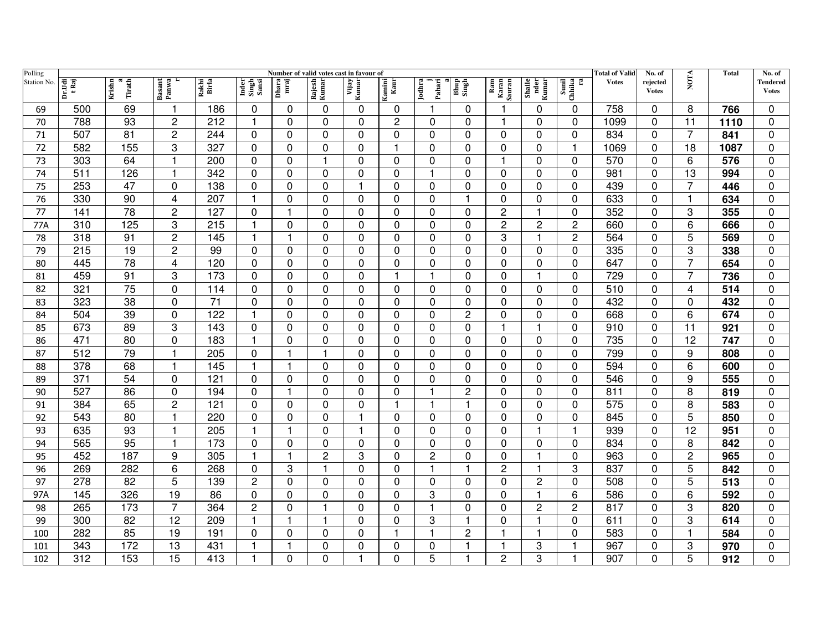| Polling     | Number of valid votes cast in favour of |                       |                 |                 |                         |               |                 |                |                |                  |                |                        |                         |                                                                         | <b>Total of Valid</b> | No. of                   |                | Total            | No. of                   |
|-------------|-----------------------------------------|-----------------------|-----------------|-----------------|-------------------------|---------------|-----------------|----------------|----------------|------------------|----------------|------------------------|-------------------------|-------------------------------------------------------------------------|-----------------------|--------------------------|----------------|------------------|--------------------------|
| Station No. | Dr.Udi<br>tRaj                          | Krishn<br>a<br>Tirath | Basant<br>Panwa | Rakhi<br>Birla  | Inder<br>Singh<br>Sansi | Dhara<br>mraj | Rajesh<br>Kumar | Vijay<br>Kumar | amini<br>Kaur  | Jodhra<br>Pahari | Bhup<br>Singh  | Ram<br>Karan<br>Sauran | Shaile<br>nder<br>Kumar | $\begin{array}{c} \mbox{Small}\\ \mbox{Chhika}\\ \mbox{ra} \end{array}$ | <b>Votes</b>          | rejected<br><b>Votes</b> | <b>NOTA</b>    |                  | Tendered<br><b>Votes</b> |
| 69          | 500                                     | 69                    |                 | 186             | 0                       | 0             | 0               | $\mathbf{0}$   | 0              |                  | 0              |                        | 0                       | 0                                                                       | 758                   | $\Omega$                 | 8              | 766              | 0                        |
| 70          | 788                                     | 93                    | $\overline{c}$  | 212             | 1                       | 0             | 0               | $\Omega$       | $\overline{c}$ | 0                | $\Omega$       |                        | 0                       | 0                                                                       | 1099                  | $\Omega$                 | 11             | 1110             | $\mathbf 0$              |
| 71          | 507                                     | 81                    | 2               | 244             | $\mathbf 0$             | 0             | $\Omega$        | $\Omega$       | 0              | 0                | 0              | $\Omega$               | 0                       | $\Omega$                                                                | 834                   | $\Omega$                 | 7              | 841              | $\mathbf 0$              |
| 72          | 582                                     | 155                   | 3               | 327             | $\mathbf 0$             | 0             | $\Omega$        | 0              | $\overline{1}$ | 0                | 0              | 0                      | 0                       | $\mathbf 1$                                                             | 1069                  | $\Omega$                 | 18             | 1087             | $\mathbf 0$              |
| 73          | 303                                     | 64                    | 1               | 200             | $\mathbf 0$             | 0             |                 | 0              | 0              | 0                | 0              | 1                      | 0                       | $\Omega$                                                                | 570                   | 0                        | 6              | 576              | 0                        |
| 74          | 511                                     | 126                   | 1               | 342             | $\pmb{0}$               | 0             | $\Omega$        | 0              | $\mathbf 0$    | 1                | 0              | 0                      | 0                       | $\Omega$                                                                | 981                   | $\Omega$                 | 13             | 994              | $\pmb{0}$                |
| 75          | 253                                     | $\overline{47}$       | 0               | 138             | 0                       | 0             | $\mathbf 0$     | $\mathbf{1}$   | $\mathbf 0$    | $\mathbf 0$      | 0              | $\mathbf 0$            | 0                       | 0                                                                       | 439                   | $\mathbf 0$              | $\overline{7}$ | 446              | $\mathbf 0$              |
| 76          | 330                                     | 90                    | 4               | 207             | $\mathbf{1}$            | 0             | $\Omega$        | $\Omega$       | $\mathbf 0$    | $\Omega$         | 1              | $\Omega$               | 0                       | $\Omega$                                                                | 633                   | $\Omega$                 | $\mathbf 1$    | 634              | $\mathbf 0$              |
| 77          | 141                                     | 78                    | 2               | 127             | $\overline{0}$          | 1             | $\Omega$        | $\mathbf 0$    | 0              | $\Omega$         | $\Omega$       | 2                      | $\overline{\mathbf{1}}$ | $\Omega$                                                                | 352                   | $\Omega$                 | 3              | 355              | $\mathbf 0$              |
| 77A         | 310                                     | 125                   | 3               | 215             | 1                       | 0             | 0               | $\Omega$       | $\mathbf 0$    | $\Omega$         | $\Omega$       | $\overline{c}$         | $\overline{c}$          | $\overline{c}$                                                          | 660                   | $\Omega$                 | 6              | 666              | $\mathbf 0$              |
| 78          | 318                                     | 91                    | $\overline{c}$  | 145             | -1                      | 1             | 0               | $\Omega$       | 0              | 0                | 0              | 3                      | $\mathbf 1$             | 2                                                                       | 564                   | $\Omega$                 | 5              | 569              | 0                        |
| 79          | 215                                     | 19                    | $\overline{c}$  | 99              | $\mathbf 0$             | 0             | 0               | $\Omega$       | $\mathbf 0$    | $\Omega$         | $\Omega$       | $\Omega$               | $\Omega$                | $\Omega$                                                                | 335                   | $\Omega$                 | 3              | 338              | $\mathbf 0$              |
| 80          | 445                                     | 78                    | 4               | 120             | $\Omega$                | 0             | $\Omega$        | $\Omega$       | $\Omega$       | $\Omega$         | $\Omega$       | $\Omega$               | $\Omega$                | $\Omega$                                                                | 647                   | $\Omega$                 | $\overline{7}$ | 654              | $\Omega$                 |
| 81          | 459                                     | 91                    | 3               | 173             | 0                       | 0             | 0               | $\Omega$       | -1             |                  | 0              | $\Omega$               | 1                       | $\Omega$                                                                | 729                   | $\Omega$                 | $\overline{7}$ | 736              | $\Omega$                 |
| 82          | 321                                     | $\overline{75}$       | 0               | 114             | $\mathbf 0$             | 0             | 0               | $\Omega$       | $\mathbf 0$    | 0                | $\Omega$       | $\mathbf{0}$           | 0                       | $\mathbf 0$                                                             | 510                   | 0                        | $\overline{4}$ | $\overline{514}$ | $\mathbf 0$              |
| 83          | 323                                     | $\overline{38}$       | 0               | $\overline{71}$ | 0                       | 0             | 0               | $\mathbf 0$    | $\mathbf 0$    | 0                | 0              | $\mathbf 0$            | 0                       | 0                                                                       | 432                   | 0                        | 0              | 432              | $\mathbf 0$              |
| 84          | 504                                     | 39                    | 0               | 122             | 1                       | 0             | $\Omega$        | 0              | 0              | 0                | 2              | 0                      | 0                       | $\Omega$                                                                | 668                   | $\Omega$                 | 6              | 674              | $\mathbf 0$              |
| 85          | 673                                     | 89                    | 3               | 143             | 0                       | 0             | $\Omega$        | 0              | 0              | $\mathbf 0$      | 0              | $\overline{1}$         | $\overline{1}$          | $\mathbf 0$                                                             | 910                   | $\Omega$                 | 11             | 921              | $\pmb{0}$                |
| 86          | 471                                     | 80                    | 0               | 183             | $\mathbf{1}$            | 0             | $\Omega$        | $\Omega$       | $\Omega$       | $\Omega$         | $\Omega$       | $\Omega$               | 0                       | $\Omega$                                                                | 735                   | $\Omega$                 | 12             | 747              | $\mathbf 0$              |
| 87          | 512                                     | 79                    | 1               | 205             | 0                       | 1             | $\mathbf 1$     | $\Omega$       | $\mathbf{0}$   | 0                | 0              | $\Omega$               | $\mathbf 0$             | $\Omega$                                                                | 799                   | $\Omega$                 | 9              | 808              | $\Omega$                 |
| 88          | 378                                     | 68                    | 1               | 145             | $\mathbf{1}$            | 1             | $\Omega$        | 0              | $\mathbf 0$    | $\Omega$         | $\Omega$       | 0                      | 0                       | 0                                                                       | 594                   | 0                        | 6              | 600              | $\mathbf 0$              |
| 89          | 371                                     | 54                    | 0               | 121             | 0                       | 0             | $\Omega$        | 0              | $\mathbf{0}$   | 0                | 0              | 0                      | 0                       | $\Omega$                                                                | 546                   | $\Omega$                 | 9              | 555              | $\Omega$                 |
| 90          | 527                                     | 86                    | 0               | 194             | 0                       | 1             | $\Omega$        | 0              | 0              |                  | $\overline{c}$ | 0                      | 0                       | $\Omega$                                                                | 811                   | $\Omega$                 | 8              | 819              | $\Omega$                 |
| 91          | 384                                     | 65                    | $\overline{c}$  | 121             | 0                       | 0             | 0               | 0              | 1              |                  | 1              | 0                      | 0                       | 0                                                                       | 575                   | 0                        | 8              | 583              | 0                        |
| 92          | 543                                     | 80                    |                 | 220             | $\mathbf 0$             | 0             | 0               |                | 0              | 0                | 0              | 0                      | 0                       | 0                                                                       | 845                   | $\Omega$                 | 5              | 850              | $\Omega$                 |
| 93          | 635                                     | 93                    |                 | 205             |                         | 1             | 0               |                | $\mathbf 0$    | 0                | 0              | 0                      | $\overline{1}$          |                                                                         | 939                   | $\Omega$                 | 12             | 951              | $\overline{0}$           |
| 94          | 565                                     | 95                    | 1               | 173             | 0                       | 0             | 0               | $\Omega$       | $\mathbf 0$    | $\Omega$         | $\Omega$       | $\Omega$               | $\Omega$                | $\Omega$                                                                | 834                   | $\Omega$                 | 8              | 842              | $\mathbf 0$              |
| 95          | 452                                     | 187                   | 9               | 305             | $\mathbf{1}$            | 1             | 2               | 3              | $\mathbf 0$    | $\overline{c}$   | $\Omega$       | $\mathbf 0$            | $\overline{1}$          | $\overline{0}$                                                          | 963                   | $\Omega$                 | $\overline{2}$ | 965              | $\mathbf 0$              |
| 96          | 269                                     | 282                   | 6               | 268             | 0                       | 3             | 1               | $\Omega$       | $\mathbf 0$    |                  |                | $\overline{c}$         | $\overline{1}$          | 3                                                                       | 837                   | $\Omega$                 | 5              | 842              | $\mathbf 0$              |
| 97          | 278                                     | 82                    | 5               | 139             | $\overline{c}$          | 0             | $\Omega$        | $\Omega$       | 0              | 0                | 0              | $\Omega$               | 2                       | $\Omega$                                                                | 508                   | 0                        | 5              | 513              | 0                        |
| 97A         | 145                                     | 326                   | 19              | 86              | 0                       | 0             | $\Omega$        | 0              | $\mathbf 0$    | 3                | 0              | $\Omega$               | $\overline{\mathbf{1}}$ | 6                                                                       | 586                   | $\Omega$                 | 6              | 592              | $\mathbf 0$              |
| 98          | 265                                     | 173                   | 7               | 364             | $\overline{c}$          | 0             |                 | $\Omega$       | $\mathbf 0$    |                  | $\Omega$       | 0                      | $\overline{c}$          | $\overline{2}$                                                          | 817                   | $\Omega$                 | 3              | 820              | $\Omega$                 |
| 99          | 300                                     | 82                    | 12              | 209             | 1                       | 1             | 1               | 0              | 0              | 3                | 1              | 0                      | 1                       | $\Omega$                                                                | 611                   | 0                        | 3              | 614              | 0                        |
| 100         | 282                                     | 85                    | 19              | 191             | 0                       | 0             | 0               | 0              | $\mathbf 1$    | $\mathbf 1$      | 2              | -1                     | $\overline{\mathbf{1}}$ | $\Omega$                                                                | 583                   | 0                        |                | 584              | 0                        |
| 101         | 343                                     | 172                   | 13              | 431             | $\mathbf{1}$            | 1             | 0               | 0              | $\mathbf 0$    | 0                | 1              | 1                      | 3                       |                                                                         | 967                   | 0                        | 3              | 970              | $\mathbf 0$              |
| 102         | 312                                     | 153                   | 15              | 413             | 1                       | 0             | 0               |                | $\mathbf 0$    | 5                |                | 2                      | 3                       |                                                                         | 907                   | 0                        | 5              | 912              | 0                        |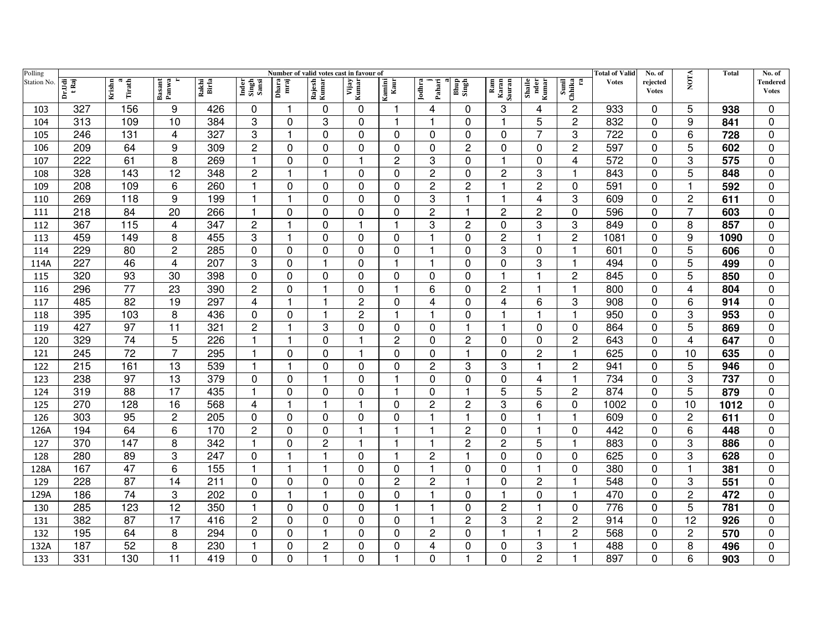| Polling     | Number of valid votes cast in favour of |                       |                 |                |                         |               |                 |                |                |                  |                |                        |                         | <b>Total of Valid</b>                                                   | No. of       |                          | Total                   | No. of |                          |
|-------------|-----------------------------------------|-----------------------|-----------------|----------------|-------------------------|---------------|-----------------|----------------|----------------|------------------|----------------|------------------------|-------------------------|-------------------------------------------------------------------------|--------------|--------------------------|-------------------------|--------|--------------------------|
| Station No. | Dr.Udi<br>tRaj                          | Krishn<br>a<br>Tirath | Basant<br>Panwa | Rakhi<br>Birla | Inder<br>Singh<br>Sansi | Dhara<br>mraj | Rajesh<br>Kumar | Vijay<br>Kumar | Kamini<br>Kaur | Jodhra<br>Pahari | Bhup<br>Singh  | Ram<br>Karan<br>Sauran | Shaile<br>nder<br>Kumar | $\begin{array}{c} \mbox{Small}\\ \mbox{Chhika}\\ \mbox{ra} \end{array}$ | <b>Votes</b> | rejected<br><b>Votes</b> | <b>NOTA</b>             |        | Tendered<br><b>Votes</b> |
| 103         | 327                                     | 156                   | 9               | 426            | 0                       |               | $\Omega$        | 0              | 1              | 4                | 0              | 3                      | 4                       | $\overline{2}$                                                          | 933          | $\mathbf{0}$             | 5                       | 938    | $\Omega$                 |
| 104         | 313                                     | 109                   | 10              | 384            | 3                       | 0             | 3               | $\Omega$       |                |                  | $\Omega$       | 1                      | 5                       | $\overline{2}$                                                          | 832          | $\Omega$                 | 9                       | 841    | $\mathbf 0$              |
| 105         | 246                                     | 131                   | 4               | 327            | 3                       | 1             | $\Omega$        | 0              | $\Omega$       | $\Omega$         | $\Omega$       | $\Omega$               | 7                       | 3                                                                       | 722          | $\mathbf{0}$             | 6                       | 728    | $\mathbf 0$              |
| 106         | 209                                     | 64                    | 9               | 309            | $\overline{c}$          | 0             | $\Omega$        | $\Omega$       | $\mathbf 0$    | $\Omega$         | 2              | $\Omega$               | 0                       | $\overline{2}$                                                          | 597          | $\Omega$                 | 5                       | 602    | $\mathbf 0$              |
| 107         | 222                                     | 61                    | 8               | 269            | 1                       | 0             | 0               |                | $\overline{c}$ | 3                | 0              | 1                      | 0                       | 4                                                                       | 572          | 0                        | 3                       | 575    | 0                        |
| 108         | 328                                     | 143                   | 12              | 348            | 2                       | 1             | -1              | 0              | 0              | $\overline{c}$   | 0              | $\overline{c}$         | 3                       | 1                                                                       | 843          | 0                        | 5                       | 848    | 0                        |
| 109         | 208                                     | 109                   | 6               | 260            | $\mathbf{1}$            | 0             | 0               | $\mathbf 0$    | $\overline{0}$ | $\overline{2}$   | $\overline{c}$ | $\overline{1}$         | $\overline{c}$          | $\overline{0}$                                                          | 591          | $\mathbf 0$              | 1                       | 592    | $\mathbf 0$              |
| 110         | 269                                     | 118                   | 9               | 199            | $\mathbf{1}$            | 1             | $\Omega$        | $\Omega$       | $\mathbf 0$    | 3                | $\mathbf 1$    | 1                      | 4                       | 3                                                                       | 609          | $\Omega$                 | $\overline{c}$          | 611    | $\mathbf 0$              |
| 111         | 218                                     | 84                    | 20              | 266            | $\mathbf{1}$            | $\Omega$      | $\Omega$        | $\Omega$       | $\mathbf 0$    | 2                | 1              | 2                      | $\overline{c}$          | 0                                                                       | 596          | $\Omega$                 | $\overline{7}$          | 603    | $\mathbf 0$              |
| 112         | 367                                     | 115                   | 4               | 347            | $\overline{c}$          | 1             | $\Omega$        | $\mathbf{1}$   | $\overline{1}$ | 3                | $\overline{c}$ | $\Omega$               | 3                       | 3                                                                       | 849          | $\mathbf{0}$             | 8                       | 857    | $\Omega$                 |
| 113         | 459                                     | 149                   | 8               | 455            | 3                       |               | $\Omega$        | 0              | $\Omega$       | 1                | 0              | 2                      | 1                       | $\overline{c}$                                                          | 1081         | $\Omega$                 | 9                       | 1090   | $\Omega$                 |
| 114         | 229                                     | 80                    | 2               | 285            | 0                       | $\Omega$      | $\Omega$        | $\Omega$       | $\mathbf 0$    | 1                | $\Omega$       | 3                      | 0                       | -1                                                                      | 601          | $\Omega$                 | 5                       | 606    | $\Omega$                 |
| 114A        | 227                                     | 46                    | 4               | 207            | 3                       | $\Omega$      |                 | $\Omega$       | 1              | 1                | $\Omega$       | 0                      | 3                       |                                                                         | 494          | $\mathbf{0}$             | 5                       | 499    | $\Omega$                 |
| 115         | 320                                     | 93                    | 30              | 398            | $\mathbf 0$             | 0             | $\Omega$        | $\Omega$       | 0              | 0                | $\Omega$       | 1                      | $\mathbf 1$             | $\overline{2}$                                                          | 845          | $\Omega$                 | 5                       | 850    | $\Omega$                 |
| 116         | 296                                     | $\overline{77}$       | 23              | 390            | 2                       | 0             | -1              | $\Omega$       | 1              | 6                | $\Omega$       | $\overline{2}$         | $\overline{1}$          | $\overline{1}$                                                          | 800          | $\mathbf{0}$             | $\overline{\mathbf{4}}$ | 804    | 0                        |
| 117         | 485                                     | $\overline{82}$       | 19              | 297            | 4                       | 1             | -1              | $\overline{2}$ | 0              | 4                | 0              | 4                      | 6                       | 3                                                                       | 908          | $\Omega$                 | 6                       | 914    | $\mathbf 0$              |
| 118         | 395                                     | 103                   | 8               | 436            | 0                       | 0             | -1              | $\overline{c}$ | 1              |                  | 0              | 1                      | 1                       | 1                                                                       | 950          | 0                        | 3                       | 953    | $\mathbf 0$              |
| 119         | 427                                     | 97                    | 11              | 321            | $\overline{c}$          | 1             | 3               | 0              | 0              | $\Omega$         | 1              | 1                      | 0                       | $\mathbf 0$                                                             | 864          | $\mathbf{0}$             | 5                       | 869    | $\pmb{0}$                |
| 120         | 329                                     | 74                    | 5               | 226            | $\mathbf{1}$            |               | $\Omega$        |                | $\overline{2}$ | $\Omega$         | $\overline{2}$ | 0                      | $\mathbf 0$             | $\overline{2}$                                                          | 643          | $\Omega$                 | $\overline{4}$          | 647    | $\mathbf 0$              |
| 121         | 245                                     | 72                    | 7               | 295            | 1                       | 0             | 0               | 1              | $\Omega$       | 0                | $\mathbf 1$    | $\Omega$               | $\overline{2}$          | $\overline{1}$                                                          | 625          | $\mathbf{0}$             | 10                      | 635    | $\Omega$                 |
| 122         | 215                                     | 161                   | 13              | 539            | 1                       | $\mathbf 1$   | 0               | $\mathbf{0}$   | $\mathbf 0$    | 2                | 3              | 3                      | $\overline{\mathbf{1}}$ | $\overline{c}$                                                          | 941          | $\Omega$                 | 5                       | 946    | 0                        |
| 123         | 238                                     | 97                    | 13              | 379            | 0                       | 0             | -1              | $\Omega$       | $\mathbf 1$    | $\Omega$         | 0              | 0                      | 4                       | $\overline{1}$                                                          | 734          | 0                        | 3                       | 737    | 0                        |
| 124         | 319                                     | 88                    | 17              | 435            | 1                       | 0             | $\Omega$        | 0              | 1              | 0                | 1              | 5                      | 5                       | $\overline{c}$                                                          | 874          | $\Omega$                 | 5                       | 879    | $\Omega$                 |
| 125         | 270                                     | 128                   | 16              | 568            | 4                       |               |                 |                | 0              | 2                | $\overline{c}$ | 3                      | 6                       | 0                                                                       | 1002         | 0                        | 10                      | 1012   | 0                        |
| 126         | 303                                     | 95                    | $\overline{c}$  | 205            | 0                       | 0             | $\Omega$        | $\Omega$       | $\Omega$       |                  | 1              | 0                      | 1                       |                                                                         | 609          | $\Omega$                 | 2                       | 611    | $\Omega$                 |
| 126A        | 194                                     | 64                    | 6               | 170            | 2                       | 0             | $\Omega$        |                |                |                  | $\overline{c}$ | 0                      | 1                       | $\mathbf 0$                                                             | 442          | $\mathbf 0$              | 6                       | 448    | 0                        |
| 127         | 370                                     | 147                   | 8               | 342            | $\overline{1}$          | $\Omega$      | $\overline{c}$  | -1             | 1              | 1                | $\overline{2}$ | 2                      | 5                       |                                                                         | 883          | $\Omega$                 | 3                       | 886    | $\mathbf 0$              |
| 128         | 280                                     | 89                    | 3               | 247            | $\mathbf 0$             |               |                 | $\Omega$       | 1              | 2                | $\overline{1}$ | $\Omega$               | $\mathbf 0$             | $\mathbf 0$                                                             | 625          | $\Omega$                 | 3                       | 628    | $\mathbf 0$              |
| 128A        | 167                                     | 47                    | 6               | 155            | $\overline{1}$          | 1             |                 | 0              | 0              |                  | 0              | $\Omega$               | $\overline{1}$          | $\Omega$                                                                | 380          | $\Omega$                 |                         | 381    | 0                        |
| 129         | 228                                     | 87                    | 14              | 211            | 0                       | 0             | 0               | $\Omega$       | $\overline{2}$ | 2                | $\mathbf 1$    | 0                      | 2                       | -1                                                                      | 548          | $\mathbf{0}$             | 3                       | 551    | 0                        |
| 129A        | 186                                     | 74                    | 3               | 202            | 0                       | 1             |                 | $\mathbf 0$    | $\overline{0}$ | 1                | 0              | 1                      | $\mathbf 0$             | $\overline{1}$                                                          | 470          | $\Omega$                 | $\overline{c}$          | 472    | $\mathbf 0$              |
| 130         | 285                                     | 123                   | 12              | 350            | 1                       | 0             | $\Omega$        | $\Omega$       | $\overline{1}$ |                  | $\Omega$       | 2                      | 1                       | $\Omega$                                                                | 776          | $\Omega$                 | 5                       | 781    | $\Omega$                 |
| 131         | 382                                     | 87                    | 17              | 416            | 2                       | 0             | 0               | 0              | 0              | 1                | 2              | 3                      | $\overline{c}$          | $\overline{2}$                                                          | 914          | 0                        | 12                      | 926    | 0                        |
| 132         | 195                                     | 64                    | 8               | 294            | 0                       | 0             | -1              | 0              | 0              | $\overline{c}$   | 0              | 1                      | $\overline{1}$          | $\overline{c}$                                                          | 568          | 0                        | $\overline{c}$          | 570    | 0                        |
| 132A        | 187                                     | 52                    | 8               | 230            | 1                       | 0             | $\overline{2}$  | 0              | 0              | 4                | 0              | 0                      | 3                       | 1                                                                       | 488          | 0                        | 8                       | 496    | 0                        |
| 133         | 331                                     | 130                   | 11              | 419            | 0                       | 0             |                 | 0              |                | $\Omega$         |                | 0                      | 2                       | 1                                                                       | 897          | 0                        | 6                       | 903    | 0                        |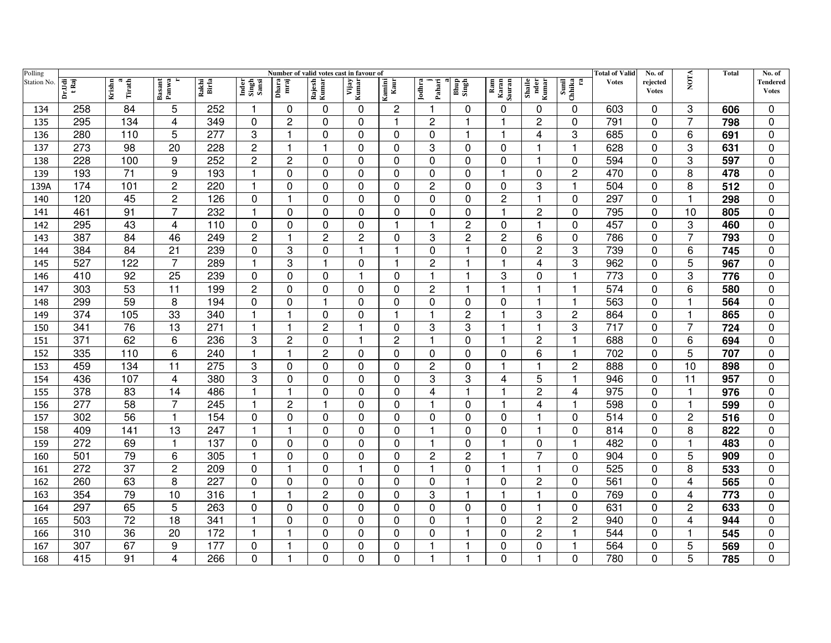| Polling     | Number of valid votes cast in favour of |                       |                 |                |                         |                         |                      |                |                |                  |                |                         |                         |                                                                         | <b>Total of Valid</b> | No. of                   |                | <b>Total</b> | No. of                   |
|-------------|-----------------------------------------|-----------------------|-----------------|----------------|-------------------------|-------------------------|----------------------|----------------|----------------|------------------|----------------|-------------------------|-------------------------|-------------------------------------------------------------------------|-----------------------|--------------------------|----------------|--------------|--------------------------|
| Station No. | Dr.Udi<br>tRaj                          | Krishn<br>a<br>Tirath | Basant<br>Panwa | Rakhi<br>Birla | Inder<br>Singh<br>Sansi | Dhara<br>mraj           | Rajesh<br>Kumar      | Vijay<br>Kumar | Kamini<br>Kaur | Jodhra<br>Pahari | Bhup<br>Singh  | Ram<br>Karan<br>Sauran  | Shaile<br>nder<br>Kumar | $\begin{array}{c} \mbox{Small}\\ \mbox{Chhika}\\ \mbox{ra} \end{array}$ | <b>Votes</b>          | rejected<br><b>Votes</b> | <b>NOTA</b>    |              | Tendered<br><b>Votes</b> |
| 134         | 258                                     | 84                    | 5               | 252            | -1                      | 0                       | 0                    | 0              | 2              |                  | 0              | 0                       | 0                       | $\mathbf{0}$                                                            | 603                   | 0                        | 3              | 606          | $\Omega$                 |
| 135         | 295                                     | 134                   | 4               | 349            | $\mathbf 0$             | 2                       | $\Omega$             | 0              | $\overline{1}$ | 2                | 1              | 1                       | $\overline{c}$          | $\mathbf 0$                                                             | 791                   | $\Omega$                 | 7              | 798          | $\mathbf 0$              |
| 136         | 280                                     | 110                   | 5               | 277            | 3                       |                         | $\Omega$             | $\Omega$       | $\Omega$       | $\Omega$         | 1              | -1                      | 4                       | 3                                                                       | 685                   | $\Omega$                 | 6              | 691          | $\mathbf 0$              |
| 137         | 273                                     | 98                    | 20              | 228            | $\overline{c}$          | 1                       | $\mathbf 1$          | $\Omega$       | 0              | 3                | 0              | $\Omega$                | 1                       | $\overline{1}$                                                          | 628                   | $\Omega$                 | 3              | 631          | $\mathbf 0$              |
| 138         | 228                                     | 100                   | 9               | 252            | $\overline{c}$          | 2                       | 0                    | 0              | 0              | 0                | 0              | $\Omega$                | 1                       | 0                                                                       | 594                   | 0                        | 3              | 597          | 0                        |
| 139         | 193                                     | 71                    | 9               | 193            | $\overline{1}$          | 0                       | $\Omega$             | $\Omega$       | 0              | 0                | 0              | $\overline{\mathbf{1}}$ | $\mathbf 0$             | $\overline{2}$                                                          | 470                   | 0                        | 8              | 478          | 0                        |
| 139A        | 174                                     | 101                   | $\overline{2}$  | 220            | $\overline{1}$          | $\mathbf 0$             | $\mathbf 0$          | 0              | 0              | $\overline{2}$   | 0              | $\mathbf 0$             | 3                       | $\overline{1}$                                                          | 504                   | $\mathbf 0$              | 8              | 512          | $\mathbf 0$              |
| 140         | 120                                     | 45                    | 2               | 126            | 0                       | $\overline{\mathbf{1}}$ | $\Omega$             | $\Omega$       | $\mathbf 0$    | 0                | 0              | 2                       | 1                       | $\Omega$                                                                | 297                   | $\Omega$                 | $\mathbf 1$    | 298          | $\mathbf 0$              |
| 141         | 461                                     | 91                    | 7               | 232            | $\mathbf{1}$            | 0                       | $\Omega$             | $\mathbf 0$    | $\mathbf 0$    | $\Omega$         | $\Omega$       | 1                       | $\overline{c}$          | $\Omega$                                                                | 795                   | $\mathbf 0$              | 10             | 805          | $\mathbf 0$              |
| 142         | 295                                     | 43                    | 4               | 110            | 0                       | 0                       | $\Omega$             | $\Omega$       | 1              | 1                | 2              | $\Omega$                | $\overline{1}$          | $\Omega$                                                                | 457                   | $\Omega$                 | 3              | 460          | $\mathbf 0$              |
| 143         | 387                                     | 84                    | 46              | 249            | $\overline{c}$          |                         | $\overline{2}$       | $\overline{c}$ | 0              | 3                | 2              | 2                       | 6                       | $\Omega$                                                                | 786                   | $\Omega$                 | $\overline{7}$ | 793          | 0                        |
| 144         | 384                                     | 84                    | 21              | 239            | 0                       | 3                       | $\Omega$             | 1              | -1             | $\Omega$         | 1              | 0                       | $\overline{c}$          | 3                                                                       | 739                   | $\Omega$                 | 6              | 745          | $\mathbf 0$              |
| 145         | 527                                     | 122                   | $\overline{7}$  | 289            | 1                       | 3                       | -1                   | $\Omega$       | -1             | 2                |                | 1                       | 4                       | 3                                                                       | 962                   | $\Omega$                 | 5              | 967          | $\Omega$                 |
| 146         | 410                                     | 92                    | 25              | 239            | 0                       | 0                       | $\Omega$             |                | 0              | 1                |                | 3                       | 0                       |                                                                         | 773                   | 0                        | 3              | 776          | $\Omega$                 |
| 147         | 303                                     | 53                    | $\overline{11}$ | 199            | 2                       | 0                       | $\Omega$             | $\Omega$       | $\Omega$       | $\overline{c}$   | 1              | $\overline{\mathbf{1}}$ | $\mathbf{1}$            | $\overline{1}$                                                          | $\overline{574}$      | $\Omega$                 | 6              | 580          | $\mathbf 0$              |
| 148         | 299                                     | $\overline{59}$       | 8               | 194            | 0                       | 0                       | $\blacktriangleleft$ | 0              | 0              | 0                | 0              | 0                       | $\overline{1}$          | $\overline{1}$                                                          | 563                   | $\mathbf 0$              |                | 564          | $\mathbf 0$              |
| 149         | 374                                     | 105                   | 33              | 340            | -1                      | 1                       | 0                    | 0              | 1              |                  | 2              | -1                      | 3                       | $\overline{c}$                                                          | 864                   | 0                        | 1              | 865          | $\mathbf 0$              |
| 150         | 341                                     | 76                    | 13              | 271            | $\overline{1}$          | 1                       | $\overline{c}$       | $\mathbf{1}$   | 0              | 3                | 3              | $\overline{\mathbf{1}}$ | $\overline{1}$          | 3                                                                       | 717                   | $\Omega$                 | $\overline{7}$ | 724          | $\pmb{0}$                |
| 151         | 371                                     | 62                    | 6               | 236            | 3                       | $\overline{c}$          | $\Omega$             |                | $\overline{c}$ | 1                | 0              | 1                       | $\overline{2}$          |                                                                         | 688                   | $\Omega$                 | 6              | 694          | $\mathbf 0$              |
| 152         | 335                                     | 110                   | 6               | 240            | $\overline{1}$          | 1                       | $\overline{2}$       | $\Omega$       | $\Omega$       | 0                | $\Omega$       | $\Omega$                | 6                       | 1                                                                       | 702                   | $\Omega$                 | 5              | 707          | $\Omega$                 |
| 153         | 459                                     | 134                   | 11              | 275            | 3                       | 0                       | 0                    | 0              | $\Omega$       | $\overline{c}$   | $\Omega$       | -1                      | 1                       | $\overline{2}$                                                          | 888                   | $\Omega$                 | 10             | 898          | $\mathbf 0$              |
| 154         | 436                                     | 107                   | 4               | 380            | 3                       | 0                       | $\Omega$             | $\Omega$       | 0              | 3                | 3              | 4                       | 5                       | 1                                                                       | 946                   | 0                        | 11             | 957          | $\mathbf 0$              |
| 155         | 378                                     | 83                    | 14              | 486            | $\mathbf 1$             | 1                       | $\Omega$             | $\Omega$       | 0              | 4                |                | 1                       | $\overline{c}$          | 4                                                                       | 975                   | $\Omega$                 | 1              | 976          | $\mathbf 0$              |
| 156         | 277                                     | 58                    | 7               | 245            | 1                       | 2                       |                      | 0              | 0              | 1                | 0              | 1                       | 4                       |                                                                         | 598                   | 0                        | 1              | 599          | 0                        |
| 157         | 302                                     | $\overline{56}$       | 1               | 154            | 0                       | 0                       | $\Omega$             | $\Omega$       | $\Omega$       | 0                | $\Omega$       | 0                       | 1                       | $\Omega$                                                                | 514                   | 0                        | $\overline{c}$ | 516          | $\Omega$                 |
| 158         | 409                                     | 141                   | 13              | 247            | $\overline{\mathbf{1}}$ |                         | $\Omega$             | 0              | 0              |                  | 0              | 0                       | 1                       | $\mathbf 0$                                                             | 814                   | $\mathbf 0$              | 8              | 822          | 0                        |
| 159         | 272                                     | 69                    | 1               | 137            | 0                       | 0                       | $\Omega$             | $\Omega$       | $\mathbf 0$    | 1                | $\Omega$       | 1                       | 0                       | 1                                                                       | 482                   | $\Omega$                 | -1             | 483          | $\mathbf 0$              |
| 160         | 501                                     | 79                    | 6               | 305            | $\overline{1}$          | 0                       | $\Omega$             | $\Omega$       | $\mathbf 0$    | 2                | $\overline{c}$ | 1                       | 7                       | $\mathbf 0$                                                             | 904                   | $\Omega$                 | 5              | 909          | $\mathbf 0$              |
| 161         | 272                                     | 37                    | $\overline{c}$  | 209            | 0                       |                         | $\Omega$             |                | $\Omega$       |                  | 0              | 1                       | $\overline{1}$          | $\Omega$                                                                | 525                   | $\Omega$                 | 8              | 533          | $\mathbf 0$              |
| 162         | 260                                     | 63                    | 8               | 227            | 0                       | 0                       | $\Omega$             | 0              | 0              | 0                | 1              | $\Omega$                | 2                       | 0                                                                       | 561                   | 0                        | 4              | 565          | 0                        |
| 163         | 354                                     | 79                    | 10              | 316            | $\overline{1}$          |                         | $\overline{c}$       | 0              | 0              | 3                | 1              | $\overline{\mathbf{1}}$ | 1                       | $\mathbf 0$                                                             | 769                   | $\Omega$                 | 4              | 773          | $\mathbf 0$              |
| 164         | 297                                     | 65                    | 5               | 263            | 0                       | $\Omega$                | $\Omega$             | $\Omega$       | $\Omega$       | $\Omega$         | 0              | $\Omega$                | 1                       | $\mathbf 0$                                                             | 631                   | $\Omega$                 | $\overline{c}$ | 633          | $\mathbf 0$              |
| 165         | 503                                     | 72                    | 18              | 341            | $\mathbf{1}$            | 0                       | $\Omega$             | 0              | 0              | 0                | 1              | 0                       | $\overline{c}$          | $\overline{c}$                                                          | 940                   | 0                        | 4              | 944          | 0                        |
| 166         | 310                                     | 36                    | 20              | 172            | $\overline{\mathbf{1}}$ | 1                       | 0                    | 0              | 0              | 0                | 1              | 0                       | $\overline{c}$          |                                                                         | 544                   | 0                        | 1              | 545          | 0                        |
| 167         | 307                                     | 67                    | 9               | 177            | 0                       |                         | $\mathbf 0$          | 0              | 0              |                  | 1              | 0                       | $\pmb{0}$               | 1                                                                       | 564                   | 0                        | 5              | 569          | 0                        |
| 168         | 415                                     | 91                    | 4               | 266            | 0                       |                         | $\Omega$             | 0              | 0              |                  |                | 0                       | $\overline{1}$          | $\Omega$                                                                | 780                   | 0                        | 5              | 785          | 0                        |